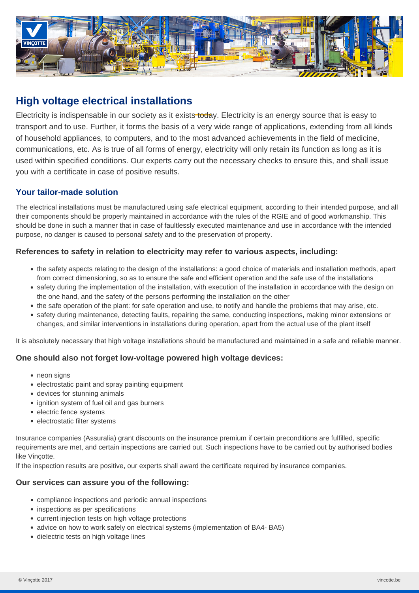

# **High voltage electrical installations**

Electricity is indispensable in our society as it exists today. Electricity is an energy source that is easy to transport and to use. Further, it forms the basis of a very wide range of applications, extending from all kinds of household appliances, to computers, and to the most advanced achievements in the field of medicine, communications, etc. As is true of all forms of energy, electricity will only retain its function as long as it is used within specified conditions. Our experts carry out the necessary checks to ensure this, and shall issue you with a certificate in case of positive results.

# **Your tailor-made solution**

The electrical installations must be manufactured using safe electrical equipment, according to their intended purpose, and all their components should be properly maintained in accordance with the rules of the RGIE and of good workmanship. This should be done in such a manner that in case of faultlessly executed maintenance and use in accordance with the intended purpose, no danger is caused to personal safety and to the preservation of property.

## **References to safety in relation to electricity may refer to various aspects, including:**

- the safety aspects relating to the design of the installations: a good choice of materials and installation methods, apart from correct dimensioning, so as to ensure the safe and efficient operation and the safe use of the installations
- safety during the implementation of the installation, with execution of the installation in accordance with the design on the one hand, and the safety of the persons performing the installation on the other
- the safe operation of the plant: for safe operation and use, to notify and handle the problems that may arise, etc.
- safety during maintenance, detecting faults, repairing the same, conducting inspections, making minor extensions or changes, and similar interventions in installations during operation, apart from the actual use of the plant itself

It is absolutely necessary that high voltage installations should be manufactured and maintained in a safe and reliable manner.

## **One should also not forget low-voltage powered high voltage devices:**

- neon signs
- electrostatic paint and spray painting equipment
- devices for stunning animals
- ignition system of fuel oil and gas burners
- electric fence systems
- electrostatic filter systems

Insurance companies (Assuralia) grant discounts on the insurance premium if certain preconditions are fulfilled, specific requirements are met, and certain inspections are carried out. Such inspections have to be carried out by authorised bodies like Vinçotte.

If the inspection results are positive, our experts shall award the certificate required by insurance companies.

#### **Our services can assure you of the following:**

- compliance inspections and periodic annual inspections
- inspections as per specifications
- current injection tests on high voltage protections
- advice on how to work safely on electrical systems (implementation of BA4- BA5)
- dielectric tests on high voltage lines